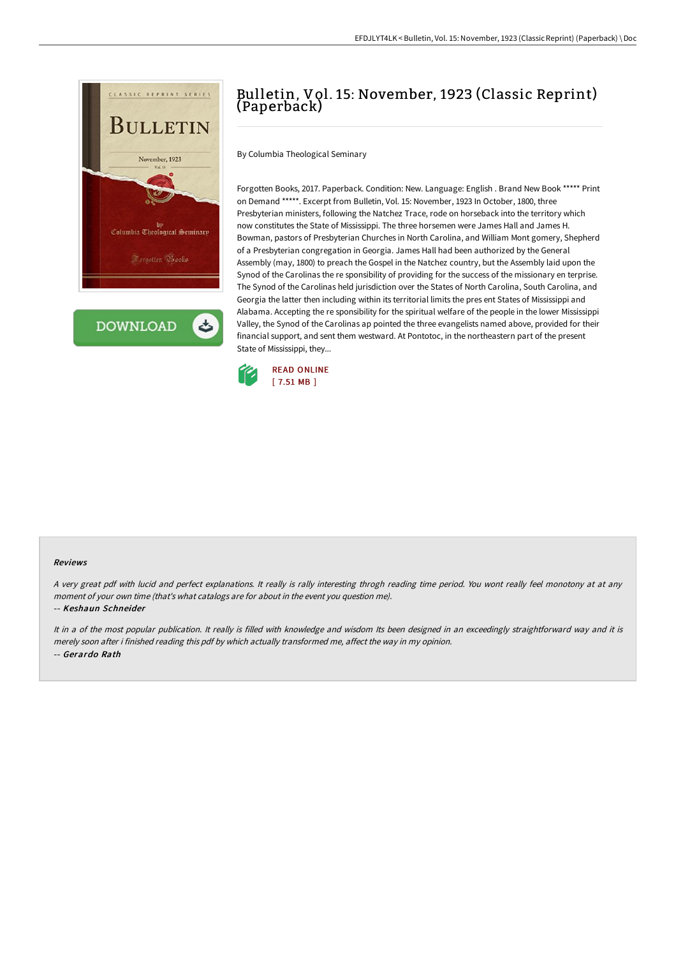

**DOWNLOAD** 

## Bulletin, Vol. 15: November, 1923 (Classic Reprint) (Paperback)

By Columbia Theological Seminary

Forgotten Books, 2017. Paperback. Condition: New. Language: English . Brand New Book \*\*\*\*\* Print on Demand \*\*\*\*\*. Excerpt from Bulletin, Vol. 15: November, 1923 In October, 1800, three Presbyterian ministers, following the Natchez Trace, rode on horseback into the territory which now constitutes the State of Mississippi. The three horsemen were James Hall and James H. Bowman, pastors of Presbyterian Churches in North Carolina, and William Mont gomery, Shepherd of a Presbyterian congregation in Georgia. James Hall had been authorized by the General Assembly (may, 1800) to preach the Gospel in the Natchez country, but the Assembly laid upon the Synod of the Carolinas the re sponsibility of providing for the success of the missionary en terprise. The Synod of the Carolinas held jurisdiction over the States of North Carolina, South Carolina, and Georgia the latter then including within its territorial limits the pres ent States of Mississippi and Alabama. Accepting the re sponsibility for the spiritual welfare of the people in the lower Mississippi Valley, the Synod of the Carolinas ap pointed the three evangelists named above, provided for their financial support, and sent them westward. At Pontotoc, in the northeastern part of the present State of Mississippi, they...



## Reviews

A very great pdf with lucid and perfect explanations. It really is rally interesting throgh reading time period. You wont really feel monotony at at any moment of your own time (that's what catalogs are for about in the event you question me).

## -- Keshaun Schneider

It in a of the most popular publication. It really is filled with knowledge and wisdom Its been designed in an exceedingly straightforward way and it is merely soon after i finished reading this pdf by which actually transformed me, affect the way in my opinion. -- Gerardo Rath